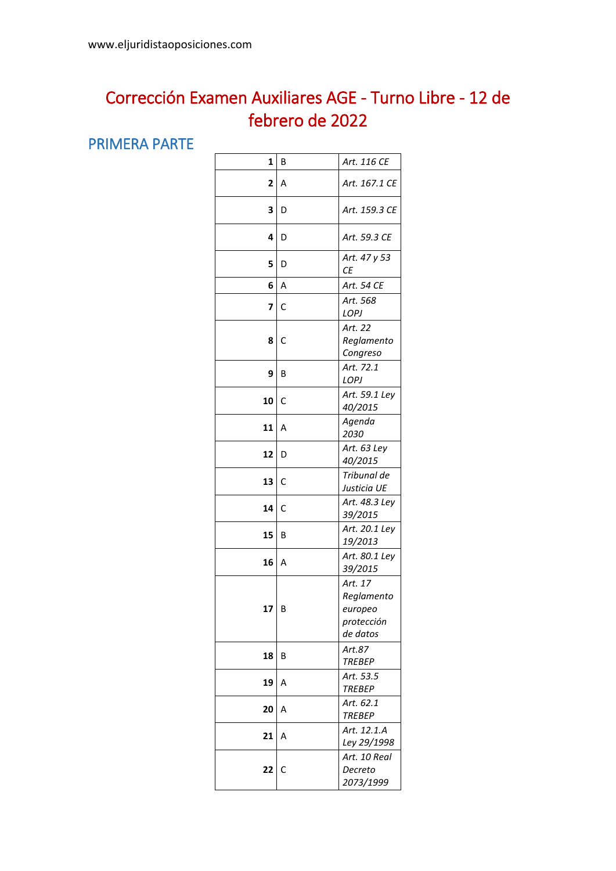## Corrección Examen Auxiliares AGE - Turno Libre - 12 de febrero de 2022

## PRIMERA PARTE

| 1  | В | Art. 116 CE                                                |
|----|---|------------------------------------------------------------|
| 2  | Α | Art. 167.1 CE                                              |
| 3  | D | Art. 159.3 CE                                              |
| 4  | D | Art. 59.3 CE                                               |
| 5  | D | Art. 47 y 53<br>СE                                         |
| 6  | A | Art. 54 CE                                                 |
| 7  | C | Art. 568<br>LOPJ                                           |
| 8  | С | Art. 22<br>Reglamento<br>Congreso                          |
| 9  | B | Art. 72.1<br>LOPJ                                          |
| 10 | С | Art. 59.1 Ley<br>40/2015                                   |
| 11 | Α | Agenda<br>2030                                             |
| 12 | D | Art. 63 Ley<br>40/2015                                     |
| 13 | C | Tribunal de<br>Justicia UE                                 |
| 14 | С | Art. 48.3 Ley<br>39/2015                                   |
| 15 | В | Art. 20.1 Ley<br>19/2013                                   |
| 16 | Α | Art. 80.1 Ley<br>39/2015                                   |
| 17 | B | Art. 17<br>Reglamento<br>europeo<br>protección<br>de datos |
| 18 | В | Art.87<br><b>TREBEP</b>                                    |
| 19 | Α | Art. 53.5<br><b>TREBEP</b>                                 |
| 20 | Α | Art. 62.1<br><b>TREBEP</b>                                 |
| 21 | Α | Art. 12.1.A<br>Ley 29/1998                                 |
| 22 | С | Art. 10 Real<br>Decreto<br>2073/1999                       |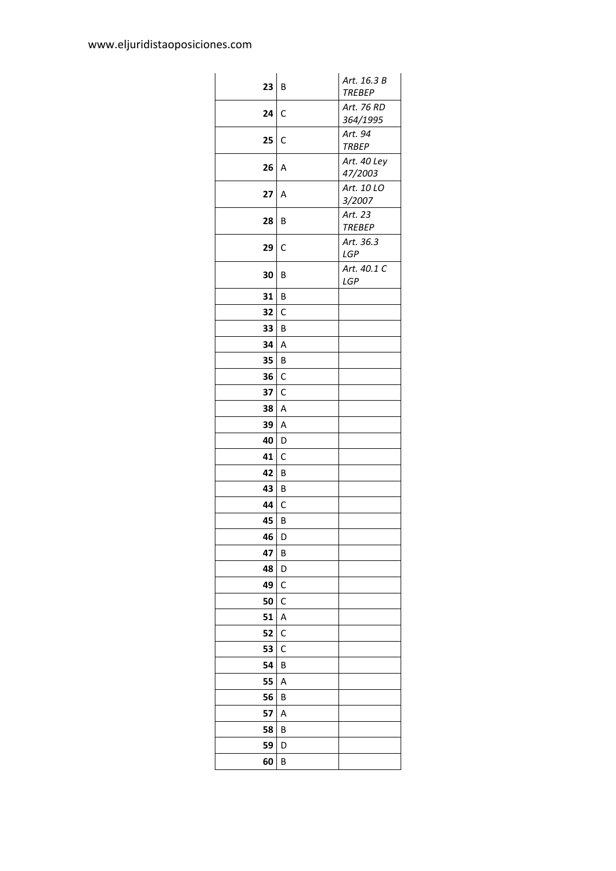| 23 | B            | Art. 16.3 B<br><b>TREBEP</b> |
|----|--------------|------------------------------|
| 24 | $\mathsf{C}$ | Art. 76 RD<br>364/1995       |
| 25 | C            | Art. 94<br><b>TRBEP</b>      |
| 26 | A            | Art. 40 Ley<br>47/2003       |
| 27 | Α            | Art. 10 LO<br>3/2007         |
| 28 | B            | Art. 23<br><b>TREBEP</b>     |
| 29 | C            | Art. 36.3<br>LGP             |
| 30 | B            | Art. 40.1 C<br>LGP           |
| 31 | B            |                              |
| 32 | C            |                              |
| 33 | B            |                              |
| 34 | Α            |                              |
| 35 | B            |                              |
| 36 | C            |                              |
| 37 | C            |                              |
| 38 | Α            |                              |
| 39 | Α            |                              |
| 40 | D            |                              |
| 41 | C            |                              |
| 42 | B            |                              |
| 43 | B            |                              |
| 44 | $\mathsf{C}$ |                              |
| 45 | B            |                              |
| 46 | D            |                              |
| 47 | В            |                              |
| 48 | D            |                              |
| 49 | С            |                              |
| 50 | С            |                              |
| 51 | Α            |                              |
| 52 | С            |                              |
| 53 | С            |                              |
| 54 | В            |                              |
| 55 | Α            |                              |
| 56 | В            |                              |
| 57 | Α            |                              |
| 58 | B            |                              |
| 59 | D            |                              |
| 60 | В            |                              |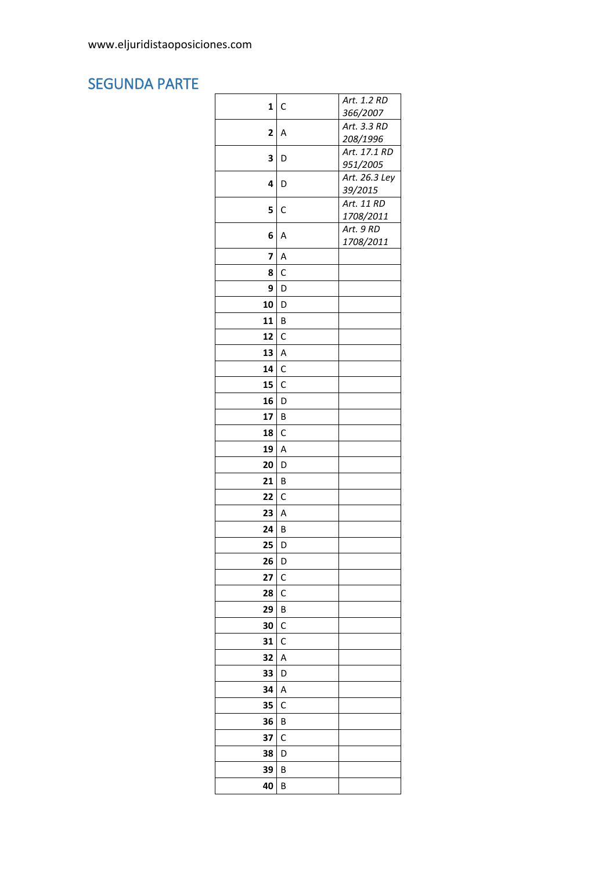## **SEGUNDA PARTE**

| 1<br>$\mathsf{C}$<br>366/2007<br>Art. 3.3 RD<br>$\overline{2}$<br>Α<br>208/1996<br>Art. 17.1 RD<br>3<br>D<br>951/2005<br>Art. 26.3 Ley<br>4<br>D<br>39/2015<br>Art. 11 RD<br>5<br>C<br>1708/2011<br>Art. 9 RD<br>6<br>A<br>1708/2011<br>7<br>A<br>8<br>C<br>9<br>D<br>10<br>D<br>11<br>B<br>12<br>$\mathsf{C}$<br>13<br>A<br>14<br>$\mathsf{C}$<br>15<br>$\mathsf{C}$<br>16<br>D<br>17<br>B<br>18<br>C<br>19<br>Α<br>20<br>D<br>B<br>21<br>22<br>$\mathsf{C}$<br>23<br>A<br>24<br>B<br>25<br>D<br>26<br>D<br>27<br>С<br>28<br>С<br>29<br>B<br>30<br>С<br>31<br>С<br>32<br>Α<br>33<br>D<br>34<br>Α<br>35<br>С<br>36<br>В<br>37<br>С<br>38<br>D<br>39<br>В<br>40<br>В |  |             |
|---------------------------------------------------------------------------------------------------------------------------------------------------------------------------------------------------------------------------------------------------------------------------------------------------------------------------------------------------------------------------------------------------------------------------------------------------------------------------------------------------------------------------------------------------------------------------------------------------------------------------------------------------------------------|--|-------------|
|                                                                                                                                                                                                                                                                                                                                                                                                                                                                                                                                                                                                                                                                     |  | Art. 1.2 RD |
|                                                                                                                                                                                                                                                                                                                                                                                                                                                                                                                                                                                                                                                                     |  |             |
|                                                                                                                                                                                                                                                                                                                                                                                                                                                                                                                                                                                                                                                                     |  |             |
|                                                                                                                                                                                                                                                                                                                                                                                                                                                                                                                                                                                                                                                                     |  |             |
|                                                                                                                                                                                                                                                                                                                                                                                                                                                                                                                                                                                                                                                                     |  |             |
|                                                                                                                                                                                                                                                                                                                                                                                                                                                                                                                                                                                                                                                                     |  |             |
|                                                                                                                                                                                                                                                                                                                                                                                                                                                                                                                                                                                                                                                                     |  |             |
|                                                                                                                                                                                                                                                                                                                                                                                                                                                                                                                                                                                                                                                                     |  |             |
|                                                                                                                                                                                                                                                                                                                                                                                                                                                                                                                                                                                                                                                                     |  |             |
|                                                                                                                                                                                                                                                                                                                                                                                                                                                                                                                                                                                                                                                                     |  |             |
|                                                                                                                                                                                                                                                                                                                                                                                                                                                                                                                                                                                                                                                                     |  |             |
|                                                                                                                                                                                                                                                                                                                                                                                                                                                                                                                                                                                                                                                                     |  |             |
|                                                                                                                                                                                                                                                                                                                                                                                                                                                                                                                                                                                                                                                                     |  |             |
|                                                                                                                                                                                                                                                                                                                                                                                                                                                                                                                                                                                                                                                                     |  |             |
|                                                                                                                                                                                                                                                                                                                                                                                                                                                                                                                                                                                                                                                                     |  |             |
|                                                                                                                                                                                                                                                                                                                                                                                                                                                                                                                                                                                                                                                                     |  |             |
|                                                                                                                                                                                                                                                                                                                                                                                                                                                                                                                                                                                                                                                                     |  |             |
|                                                                                                                                                                                                                                                                                                                                                                                                                                                                                                                                                                                                                                                                     |  |             |
|                                                                                                                                                                                                                                                                                                                                                                                                                                                                                                                                                                                                                                                                     |  |             |
|                                                                                                                                                                                                                                                                                                                                                                                                                                                                                                                                                                                                                                                                     |  |             |
|                                                                                                                                                                                                                                                                                                                                                                                                                                                                                                                                                                                                                                                                     |  |             |
|                                                                                                                                                                                                                                                                                                                                                                                                                                                                                                                                                                                                                                                                     |  |             |
|                                                                                                                                                                                                                                                                                                                                                                                                                                                                                                                                                                                                                                                                     |  |             |
|                                                                                                                                                                                                                                                                                                                                                                                                                                                                                                                                                                                                                                                                     |  |             |
|                                                                                                                                                                                                                                                                                                                                                                                                                                                                                                                                                                                                                                                                     |  |             |
|                                                                                                                                                                                                                                                                                                                                                                                                                                                                                                                                                                                                                                                                     |  |             |
|                                                                                                                                                                                                                                                                                                                                                                                                                                                                                                                                                                                                                                                                     |  |             |
|                                                                                                                                                                                                                                                                                                                                                                                                                                                                                                                                                                                                                                                                     |  |             |
|                                                                                                                                                                                                                                                                                                                                                                                                                                                                                                                                                                                                                                                                     |  |             |
|                                                                                                                                                                                                                                                                                                                                                                                                                                                                                                                                                                                                                                                                     |  |             |
|                                                                                                                                                                                                                                                                                                                                                                                                                                                                                                                                                                                                                                                                     |  |             |
|                                                                                                                                                                                                                                                                                                                                                                                                                                                                                                                                                                                                                                                                     |  |             |
|                                                                                                                                                                                                                                                                                                                                                                                                                                                                                                                                                                                                                                                                     |  |             |
|                                                                                                                                                                                                                                                                                                                                                                                                                                                                                                                                                                                                                                                                     |  |             |
|                                                                                                                                                                                                                                                                                                                                                                                                                                                                                                                                                                                                                                                                     |  |             |
|                                                                                                                                                                                                                                                                                                                                                                                                                                                                                                                                                                                                                                                                     |  |             |
|                                                                                                                                                                                                                                                                                                                                                                                                                                                                                                                                                                                                                                                                     |  |             |
|                                                                                                                                                                                                                                                                                                                                                                                                                                                                                                                                                                                                                                                                     |  |             |
|                                                                                                                                                                                                                                                                                                                                                                                                                                                                                                                                                                                                                                                                     |  |             |
|                                                                                                                                                                                                                                                                                                                                                                                                                                                                                                                                                                                                                                                                     |  |             |
|                                                                                                                                                                                                                                                                                                                                                                                                                                                                                                                                                                                                                                                                     |  |             |
|                                                                                                                                                                                                                                                                                                                                                                                                                                                                                                                                                                                                                                                                     |  |             |
|                                                                                                                                                                                                                                                                                                                                                                                                                                                                                                                                                                                                                                                                     |  |             |
|                                                                                                                                                                                                                                                                                                                                                                                                                                                                                                                                                                                                                                                                     |  |             |